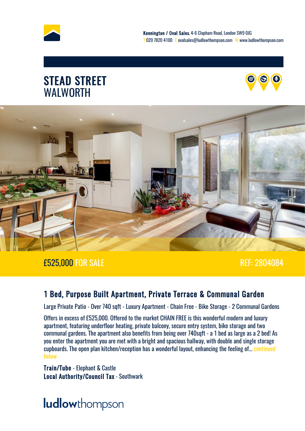





#### £525,000 FOR SALE REF: 2804084

#### 1 Bed, Purpose Built Apartment, Private Terrace & Communal Garden

Large Private Patio - Over 740 sqft - Luxury Apartment - Chain Free - Bike Storage - 2 Communal Gardens

Offers in excess of £525,000. Offered to the market CHAIN FREE is this wonderful modern and luxury apartment, featuring underfloor heating, private balcony, secure entry system, bike storage and two communal gardens. The apartment also benefits from being over 740sqft - a 1 bed as large as a 2 bed! As you enter the apartment you are met with a bright and spacious hallway, with double and single storage cupboards. The open plan kitchen/reception has a wonderful layout, enhancing the feeling of... [continued](#page-4-0) [below](#page-4-0) the contract of the contract of the contract of the contract of the contract of the contract of the contract of the contract of the contract of the contract of the contract of the contract of the contract of the cont

Train/Tube - Elephant & Castle Local Authority/Council Tax - Southwark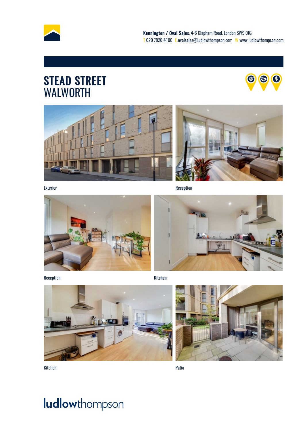







Exterior Reception Reception Reception Reception Reception



Reception and the control of the control of the control of the control of the control of the control of the control of the control of the control of the control of the control of the control of the control of the control o







Kitchen Patio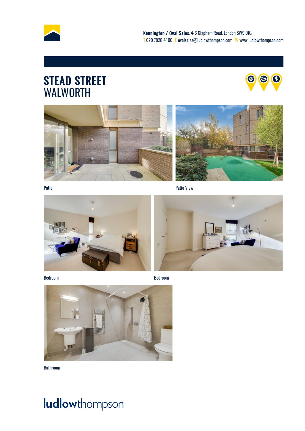







Patio Patio View



Bedroom Bedroom





Bathroom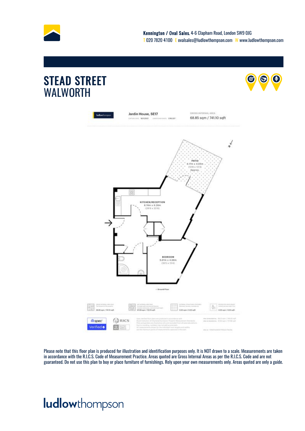

 $\boldsymbol{\Theta}$ 



Please note that this floor plan is produced for illustration and identification purposes only. It is NOT drawn to a scale. Measurements are taken in accordance with the R.I.C.S. Code of Measurement Practice. Areas quoted are Gross Internal Areas as per the R.I.C.S. Code and are not guaranteed. Do not use this plan to buy or place furniture of furnishings. Rely upon your own measurements only. Areas quoted are only a guide.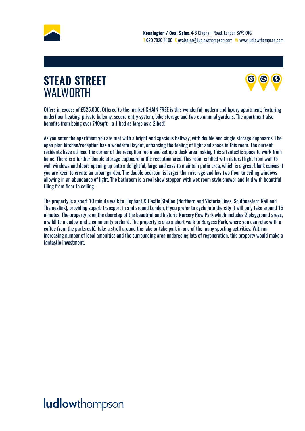<span id="page-4-0"></span>



Offers in excess of £525,000. Offered to the market CHAIN FREE is this wonderful modern and luxury apartment, featuring underfloor heating, private balcony, secure entry system, bike storage and two communal gardens. The apartment also benefits from being over 740sqft - a 1 bed as large as a 2 bed!

As you enter the apartment you are met with a bright and spacious hallway, with double and single storage cupboards. The open plan kitchen/reception has a wonderful layout, enhancing the feeling of light and space in this room. The current residents have utilised the corner of the reception room and set up a desk area making this a fantastic space to work from home. There is a further double storage cupboard in the reception area. This room is filled with natural light from wall to wall windows and doors opening up onto a delightful, large and easy to maintain patio area, which is a great blank canvas if you are keen to create an urban garden. The double bedroom is larger than average and has two floor to ceiling windows allowing in an abundance of light. The bathroom is a real show stopper, with wet room style shower and laid with beautiful tiling from floor to ceiling.

The property is a short 10 minute walk to Elephant & Castle Station (Northern and Victoria Lines, Southeastern Rail and Thameslink), providing superb transport in and around London, if you prefer to cycle into the city it will only take around 15 minutes. The property is on the doorstep of the beautiful and historic Nursery Row Park which includes 2 playground areas, a wildlife meadow and a community orchard. The property is also a short walk to Burgess Park, where you can relax with a coffee from the parks café, take a stroll around the lake or take part in one of the many sporting activities. With an increasing number of local amenities and the surrounding area undergoing lots of regeneration, this property would make a fantastic investment.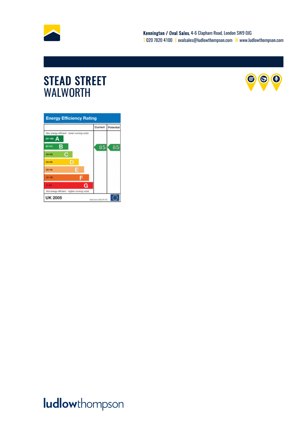



| <b>Energy Efficiency Rating</b>             |         |           |
|---------------------------------------------|---------|-----------|
|                                             | Current | Potential |
| Very energy efficient - lower running costs |         |           |
| 82-100) A                                   |         |           |
| в<br>(81-91)                                | 85      | 85        |
| С<br>408-001                                |         |           |
| D<br>$(55 - 68)$                            |         |           |
| Е<br>$(39 - 54)$                            |         |           |
| $21 - 30$                                   |         |           |
| G<br>$13 - 203$                             |         |           |
| Not energy efficient - higher running casts |         |           |
| <b>UK 2005</b><br>Directive 2002/91/EC      |         |           |